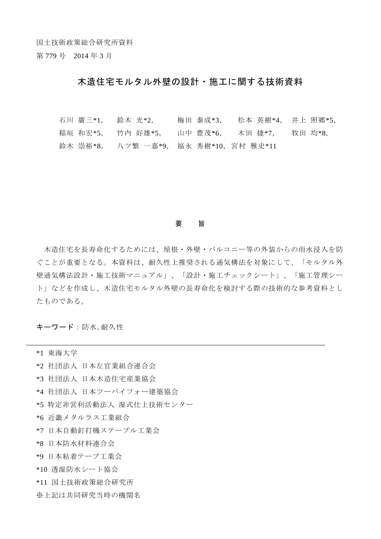国土技術政策総合研究所資料

第 779 号 2014 年 3 月

## 木造住宅モルタル外壁の設計・施工に関する技術資料

石川 廣三\*1, 鈴木 光\*2, 梅田 泰成\*3, 松本 英樹\*4, 井上 照郷\*5, 稲垣 和宏\*5, 竹内 好雄\*5, 山中 豊茂\*6, 木田 捷\*7, 牧田 均\*8, 鈴木 崇裕\*8, 八ツ繁 一嘉\*9, 福永 秀樹\*10,宮村 雅史\*11

## 要 旨

 木造住宅を長寿命化するためには、屋根・外壁・バルコニー等の外装からの雨水浸入を防 ぐことが重要となる。本資料は、耐久性上推奨される通気構法を対象にして、「モルタル外 壁通気構法設計・施工技術マニュアル」、「設計・施工チェックシート」、「施工管理シー ト」などを作成し、木造住宅モルタル外壁の長寿命化を検討する際の技術的な参考資料とし たものである。

キーワード:防水,耐久性

\*1 東海大学

\*2 社団法人 日本左官業組合連合会

\*3 社団法人 日本木造住宅産業協会

\*4 社団法人 日本ツーバイフォー建築協会

\*5 特定非営利活動法人 湿式仕上技術センター

\*6 近畿メタルラス工業組合

\*7 日本自動釘打機ステープル工業会

\*8 日本防水材料連合会

\*9 日本粘着テープ工業会

\*10 透湿防水シート協会

\*11 国土技術政策総合研究所

※上記は共同研究当時の機関名